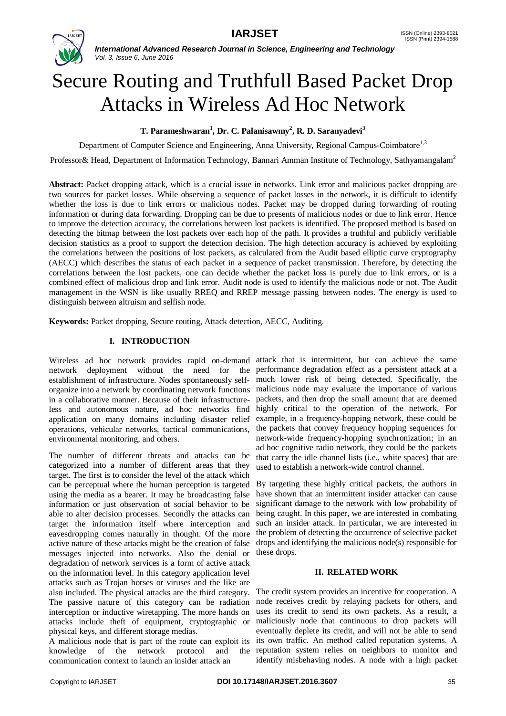

# Secure Routing and Truthfull Based Packet Drop Attacks in Wireless Ad Hoc Network

**T. Parameshwaran<sup>1</sup> , Dr. C. Palanisawmy<sup>2</sup> , R. D. Saranyadevi<sup>3</sup>**

Department of Computer Science and Engineering, Anna University, Regional Campus-Coimbatore<sup>1,3</sup>

Professor& Head, Department of Information Technology, Bannari Amman Institute of Technology, Sathyamangalam<sup>2</sup>

**Abstract:** Packet dropping attack, which is a crucial issue in networks. Link error and malicious packet dropping are two sources for packet losses. While observing a sequence of packet losses in the network, it is difficult to identify whether the loss is due to link errors or malicious nodes. Packet may be dropped during forwarding of routing information or during data forwarding. Dropping can be due to presents of malicious nodes or due to link error. Hence to improve the detection accuracy, the correlations between lost packets is identified. The proposed method is based on detecting the bitmap between the lost packets over each hop of the path. It provides a truthful and publicly verifiable decision statistics as a proof to support the detection decision. The high detection accuracy is achieved by exploiting the correlations between the positions of lost packets, as calculated from the Audit based elliptic curve cryptography (AECC) which describes the status of each packet in a sequence of packet transmission. Therefore, by detecting the correlations between the lost packets, one can decide whether the packet loss is purely due to link errors, or is a combined effect of malicious drop and link error. Audit node is used to identify the malicious node or not. The Audit management in the WSN is like usually RREQ and RREP message passing between nodes. The energy is used to distinguish between altruism and selfish node.

**Keywords:** Packet dropping, Secure routing, Attack detection, AECC, Auditing.

# **I. INTRODUCTION**

network deployment without the need for the performance degradation effect as a persistent attack at a establishment of infrastructure. Nodes spontaneously selforganize into a network by coordinating network functions in a collaborative manner. Because of their infrastructureless and autonomous nature, ad hoc networks find application on many domains including disaster relief operations, vehicular networks, tactical communications, environmental monitoring, and others.

The number of different threats and attacks can be categorized into a number of different areas that they target. The first is to consider the level of the attack which can be perceptual where the human perception is targeted using the media as a bearer. It may be broadcasting false information or just observation of social behavior to be able to alter decision processes. Secondly the attacks can target the information itself where interception and eavesdropping comes naturally in thought. Of the more active nature of these attacks might be the creation of false messages injected into networks. Also the denial or these drops. degradation of network services is a form of active attack on the information level. In this category application level attacks such as Trojan horses or viruses and the like are also included. The physical attacks are the third category. The passive nature of this category can be radiation node receives credit by relaying packets for others, and interception or inductive wiretapping. The more hands on uses its credit to send its own packets. As a result, a attacks include theft of equipment, cryptographic or physical keys, and different storage medias.

knowledge of the network protocol and communication context to launch an insider attack an

Wireless ad hoc network provides rapid on-demand attack that is intermittent, but can achieve the same much lower risk of being detected. Specifically, the malicious node may evaluate the importance of various packets, and then drop the small amount that are deemed highly critical to the operation of the network. For example, in a frequency-hopping network, these could be the packets that convey frequency hopping sequences for network-wide frequency-hopping synchronization; in an ad hoc cognitive radio network, they could be the packets that carry the idle channel lists (i.e., white spaces) that are used to establish a network-wide control channel.

> By targeting these highly critical packets, the authors in have shown that an intermittent insider attacker can cause significant damage to the network with low probability of being caught. In this paper, we are interested in combating such an insider attack. In particular, we are interested in the problem of detecting the occurrence of selective packet drops and identifying the malicious node(s) responsible for

# **II. RELATED WORK**

A malicious node that is part of the route can exploit its its own traffic. An method called reputation systems. A The credit system provides an incentive for cooperation. A maliciously node that continuous to drop packets will eventually deplete its credit, and will not be able to send the reputation system relies on neighbors to monitor and identify misbehaving nodes. A node with a high packet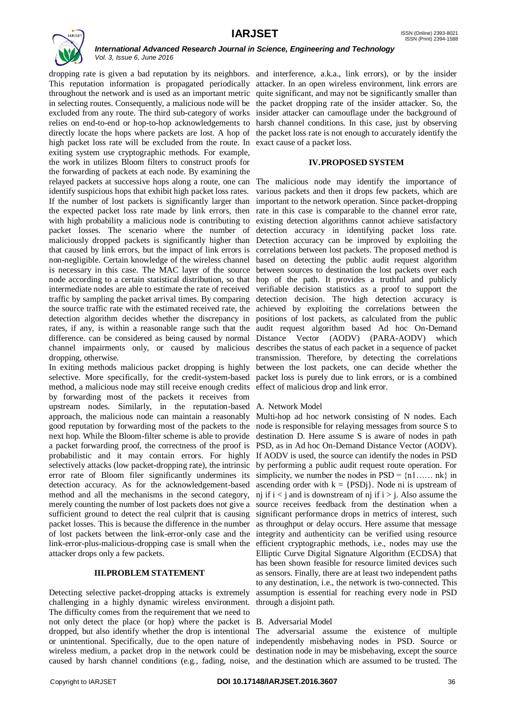

This reputation information is propagated periodically attacker. In an open wireless environment, link errors are throughout the network and is used as an important metric quite significant, and may not be significantly smaller than in selecting routes. Consequently, a malicious node will be the packet dropping rate of the insider attacker. So, the excluded from any route. The third sub-category of works insider attacker can camouflage under the background of relies on end-to-end or hop-to-hop acknowledgements to harsh channel conditions. In this case, just by observing directly locate the hops where packets are lost. A hop of the packet loss rate is not enough to accurately identify the high packet loss rate will be excluded from the route. In exact cause of a packet loss. exiting system use cryptographic methods. For example, the work in utilizes Bloom filters to construct proofs for the forwarding of packets at each node. By examining the relayed packets at successive hops along a route, one can The malicious node may identify the importance of identify suspicious hops that exhibit high packet loss rates. various packets and then it drops few packets, which are If the number of lost packets is significantly larger than important to the network operation. Since packet-dropping the expected packet loss rate made by link errors, then rate in this case is comparable to the channel error rate, with high probability a malicious node is contributing to existing detection algorithms cannot achieve satisfactory packet losses. The scenario where the number of detection accuracy in identifying packet loss rate. maliciously dropped packets is significantly higher than Detection accuracy can be improved by exploiting the that caused by link errors, but the impact of link errors is correlations between lost packets. The proposed method is non-negligible. Certain knowledge of the wireless channel based on detecting the public audit request algorithm is necessary in this case. The MAC layer of the source between sources to destination the lost packets over each node according to a certain statistical distribution, so that hop of the path. It provides a truthful and publicly intermediate nodes are able to estimate the rate of received verifiable decision statistics as a proof to support the traffic by sampling the packet arrival times. By comparing detection decision. The high detection accuracy is the source traffic rate with the estimated received rate, the achieved by exploiting the correlations between the detection algorithm decides whether the discrepancy in positions of lost packets, as calculated from the public rates, if any, is within a reasonable range such that the audit request algorithm based Ad hoc On-Demand difference. can be considered as being caused by normal Distance Vector (AODV) (PARA-AODV) which channel impairments only, or caused by malicious describes the status of each packet in a sequence of packet dropping, otherwise.

In exiting methods malicious packet dropping is highly selective. More specifically, for the credit-system-based method, a malicious node may still receive enough credits effect of malicious drop and link error. by forwarding most of the packets it receives from upstream nodes. Similarly, in the reputation-based A. Network Model approach, the malicious node can maintain a reasonably Multi-hop ad hoc network consisting of N nodes. Each good reputation by forwarding most of the packets to the node is responsible for relaying messages from source S to next hop. While the Bloom-filter scheme is able to provide destination D. Here assume S is aware of nodes in path a packet forwarding proof, the correctness of the proof is PSD, as in Ad hoc On-Demand Distance Vector (AODV). probabilistic and it may contain errors. For highly If AODV is used, the source can identify the nodes in PSD selectively attacks (low packet-dropping rate), the intrinsic by performing a public audit request route operation. For error rate of Bloom filer significantly undermines its simplicity, we number the nodes in  $PSD = \{n1, \ldots, nk\}$  in detection accuracy. As for the acknowledgement-based ascending order with  $k = \{PSDj\}$ . Node ni is upstream of method and all the mechanisms in the second category, nj if  $i < j$  and is downstream of nj if  $i > j$ . Also assume the merely counting the number of lost packets does not give a source receives feedback from the destination when a sufficient ground to detect the real culprit that is causing significant performance drops in metrics of interest, such packet losses. This is because the difference in the number as throughput or delay occurs. Here assume that message of lost packets between the link-error-only case and the integrity and authenticity can be verified using resource link-error-plus-malicious-dropping case is small when the efficient cryptographic methods, i.e., nodes may use the attacker drops only a few packets.

# **III.PROBLEM STATEMENT**

Detecting selective packet-dropping attacks is extremely challenging in a highly dynamic wireless environment. through a disjoint path. The difficulty comes from the requirement that we need to not only detect the place (or hop) where the packet is B. Adversarial Model

dropping rate is given a bad reputation by its neighbors. and interference, a.k.a., link errors), or by the insider

# **IV.PROPOSED SYSTEM**

transmission. Therefore, by detecting the correlations between the lost packets, one can decide whether the packet loss is purely due to link errors, or is a combined

Elliptic Curve Digital Signature Algorithm (ECDSA) that has been shown feasible for resource limited devices such as sensors. Finally, there are at least two independent paths to any destination, i.e., the network is two-connected. This assumption is essential for reaching every node in PSD

dropped, but also identify whether the drop is intentional The adversarial assume the existence of multiple or unintentional. Specifically, due to the open nature of independently misbehaving nodes in PSD. Source or wireless medium, a packet drop in the network could be destination node in may be misbehaving, except the source caused by harsh channel conditions (e.g., fading, noise, and the destination which are assumed to be trusted. The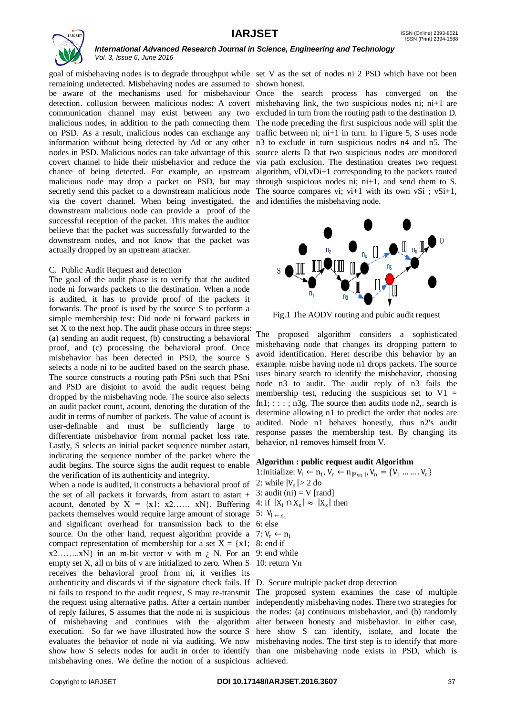

goal of misbehaving nodes is to degrade throughput while set V as the set of nodes ni 2 PSD which have not been remaining undetected. Misbehaving nodes are assumed to shown honest. be aware of the mechanisms used for misbehaviour Once the search process has converged on the detection. collusion between malicious nodes: A covert misbehaving link, the two suspicious nodes ni; ni+1 are communication channel may exist between any two excluded in turn from the routing path to the destination D. malicious nodes, in addition to the path connecting them The node preceding the first suspicious node will split the on PSD. As a result, malicious nodes can exchange any traffic between ni; ni+1 in turn. In Figure 5, S uses node information without being detected by Ad or any other n3 to exclude in turn suspicious nodes n4 and n5. The nodes in PSD. Malicious nodes can take advantage of this source alerts D that two suspicious nodes are monitored covert channel to hide their misbehavior and reduce the via path exclusion. The destination creates two request chance of being detected. For example, an upstream algorithm, vDi,vDi+1 corresponding to the packets routed malicious node may drop a packet on PSD, but may through suspicious nodes ni; ni+1, and send them to S. secretly send this packet to a downstream malicious node The source compares vi; vi+1 with its own vSi ; vSi+1, via the covert channel. When being investigated, the and identifies the misbehaving node. downstream malicious node can provide a proof of the successful reception of the packet. This makes the auditor believe that the packet was successfully forwarded to the downstream nodes, and not know that the packet was actually dropped by an upstream attacker.

# C. Public Audit Request and detection

The goal of the audit phase is to verify that the audited node ni forwards packets to the destination. When a node is audited, it has to provide proof of the packets it forwards. The proof is used by the source S to perform a simple membership test: Did node ni forward packets in set X to the next hop. The audit phase occurs in three steps: (a) sending an audit request, (b) constructing a behavioral proof, and (c) processing the behavioral proof. Once misbehavior has been detected in PSD, the source S selects a node ni to be audited based on the search phase. The source constructs a routing path PSni such that PSni and PSD are disjoint to avoid the audit request being dropped by the misbehaving node. The source also selects an audit packet count, acount, denoting the duration of the audit in terms of number of packets. The value of acount is user-definable and must be sufficiently large to differentiate misbehavior from normal packet loss rate. Lastly, S selects an initial packet sequence number astart, indicating the sequence number of the packet where the audit begins. The source signs the audit request to enable the verification of its authenticity and integrity.

When a node is audited, it constructs a behavioral proof of the set of all packets it forwards, from astart to astart  $+$  3: audit (ni) = V [rand] acount, denoted by  $X = \{x1, x2, \dots, xN\}$ . Buffering 4: if  $|X_i \cap X_s| \approx |X_s|$  then packets themselves would require large amount of storage 5:  $V_{l \leftarrow n_i}$ and significant overhead for transmission back to the 6: else source. On the other hand, request algorithm provide a  $7: V_r \leftarrow n_i$ compact representation of membership for a set  $X = \{x1, 8$ : end if  $x2$ .........xN} in an m-bit vector v with m  $\chi$  N. For an 9: end while empty set X, all m bits of v are initialized to zero. When S 10: return Vn receives the behavioral proof from ni, it verifies its authenticity and discards vi if the signature check fails. If D. Secure multiple packet drop detection ni fails to respond to the audit request, S may re-transmit The proposed system examines the case of multiple the request using alternative paths. After a certain number independently misbehaving nodes. There two strategies for of reply failures, S assumes that the node ni is suspicious the nodes: (a) continuous misbehavior, and (b) randomly of misbehaving and continues with the algorithm alter between honesty and misbehavior. In either case, execution. So far we have illustrated how the source S here show S can identify, isolate, and locate the evaluates the behavior of node ni via auditing. We now misbehaving nodes. The first step is to identify that more show how S selects nodes for audit in order to identify than one misbehaving node exists in PSD, which is misbehaving ones. We define the notion of a suspicious achieved.



Fig.1 The AODV routing and pubic audit request

The proposed algorithm considers a sophisticated misbehaving node that changes its dropping pattern to avoid identification. Heret describe this behavior by an example. misbe having node n1 drops packets. The source uses binary search to identify the misbehavior, choosing node n3 to audit. The audit reply of n3 fails the membership test, reducing the suspicious set to  $V1 =$ fn1; :: : ; n3g. The source then audits node n2, search is determine allowing n1 to predict the order that nodes are audited. Node n1 behaves honestly, thus n2's audit response passes the membership test. By changing its behavior, n1 removes himself from V.

## **Algorithm : public request audit Algorithm**

1:Initialize:  $V_1 \leftarrow n_1, V_r \leftarrow n_{|P_{SD}|}, V_n = \{V_1 \dots \dots V_r\}$ 2: while  $|V_n| > 2$  do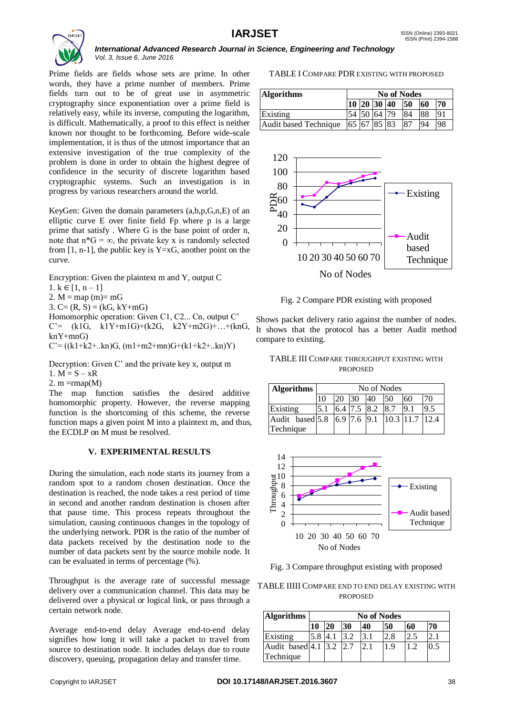

Prime fields are fields whose sets are prime. In other words, they have a prime number of members. Prime fields turn out to be of great use in asymmetric cryptography since exponentiation over a prime field is relatively easy, while its inverse, computing the logarithm, is difficult. Mathematically, a proof to this effect is neither known nor thought to be forthcoming. Before wide-scale implementation, it is thus of the utmost importance that an extensive investigation of the true complexity of the problem is done in order to obtain the highest degree of confidence in the security of discrete logarithm based cryptographic systems. Such an investigation is in progress by various researchers around the world.

KeyGen: Given the domain parameters (a,b,p,G,n,E) of an elliptic curve E over finite field Fp where p is a large prime that satisfy . Where G is the base point of order n, note that  $n*G = \infty$ , the private key x is randomly selected from [1, n-1], the public key is  $Y=xG$ , another point on the curve.

Encryption: Given the plaintext m and Y, output C  $1. k \in [1, n-1]$ 2.  $M = map (m) = mG$ 3. C=  $(R, S) = (kG, kY + mG)$ 

Homomorphic operation: Given C1, C2... Cn, output C'  $C' = (k1G, k1Y+m1G)+(k2G, k2Y+m2G)+...+(knG,$  $knY+mnG$ 

 $C' = ((k1+k2+..kn)G, (m1+m2+mn)G+(k1+k2+..kn)Y)$ 

Decryption: Given C' and the private key x, output m 1.  $M = S - xR$ 

2.  $m = rmap(M)$ 

The map function satisfies the desired additive homomorphic property. However, the reverse mapping function is the shortcoming of this scheme, the reverse function maps a given point M into a plaintext m, and thus, the ECDLP on M must be resolved.

# **V. EXPERIMENTAL RESULTS**

During the simulation, each node starts its journey from a random spot to a random chosen destination. Once the destination is reached, the node takes a rest period of time in second and another random destination is chosen after that pause time. This process repeats throughout the simulation, causing continuous changes in the topology of the underlying network. PDR is the ratio of the number of data packets received by the destination node to the number of data packets sent by the source mobile node. It can be evaluated in terms of percentage (%).

Throughput is the average rate of successful message delivery over a communication channel. This data may be delivered over a physical or logical link, or pass through a certain network node.

Average end-to-end delay Average end-to-end delay signifies how long it will take a packet to travel from source to destination node. It includes delays due to route discovery, queuing, propagation delay and transfer time.

TABLE I COMPARE PDR EXISTING WITH PROPOSED

| <b>Algorithms</b>     | <b>No of Nodes</b> |                   |  |  |            |           |           |
|-----------------------|--------------------|-------------------|--|--|------------|-----------|-----------|
|                       |                    | 10   20   30   40 |  |  | <b>150</b> | <b>60</b> | 70        |
| Existing              |                    | 54 50 64 79       |  |  | 84         | 88        | <b>91</b> |
| Audit based Technique |                    |                   |  |  | 87         | 94        | -98       |



Fig. 2 Compare PDR existing with proposed

Shows packet delivery ratio against the number of nodes. It shows that the protocol has a better Audit method compare to existing.

TABLE III COMPARE THROUGHPUT EXISTING WITH **PROPOSED** 

| <b>Algorithms</b>           | No of Nodes |     |           |    |            |                    |     |  |
|-----------------------------|-------------|-----|-----------|----|------------|--------------------|-----|--|
|                             | 10          | 20  | 30        | 40 |            | 60                 | 70  |  |
| Existing                    |             | 6.4 | $7.5$ 8.2 |    | <b>8.7</b> | 9.1                | 9.5 |  |
| Audit based 5.8 6.9 7.6 9.1 |             |     |           |    |            | $10.3$ 11.7 $12.4$ |     |  |
| Technique                   |             |     |           |    |            |                    |     |  |



Fig. 3 Compare throughput existing with proposed

TABLE IIIII COMPARE END TO END DELAY EXISTING WITH PROPOSED

| <b>Algorithms</b>     | <b>No of Nodes</b> |             |    |    |     |     |    |  |  |
|-----------------------|--------------------|-------------|----|----|-----|-----|----|--|--|
|                       | 10                 | 20          | 30 | 40 | 50  | 60  | 70 |  |  |
| Existing              | 5.8                | $\Lambda$ 1 |    |    | 2.8 |     |    |  |  |
| Audit based $4.1$ 3.2 |                    |             |    |    | 1.9 | 1.2 |    |  |  |
| Technique             |                    |             |    |    |     |     |    |  |  |